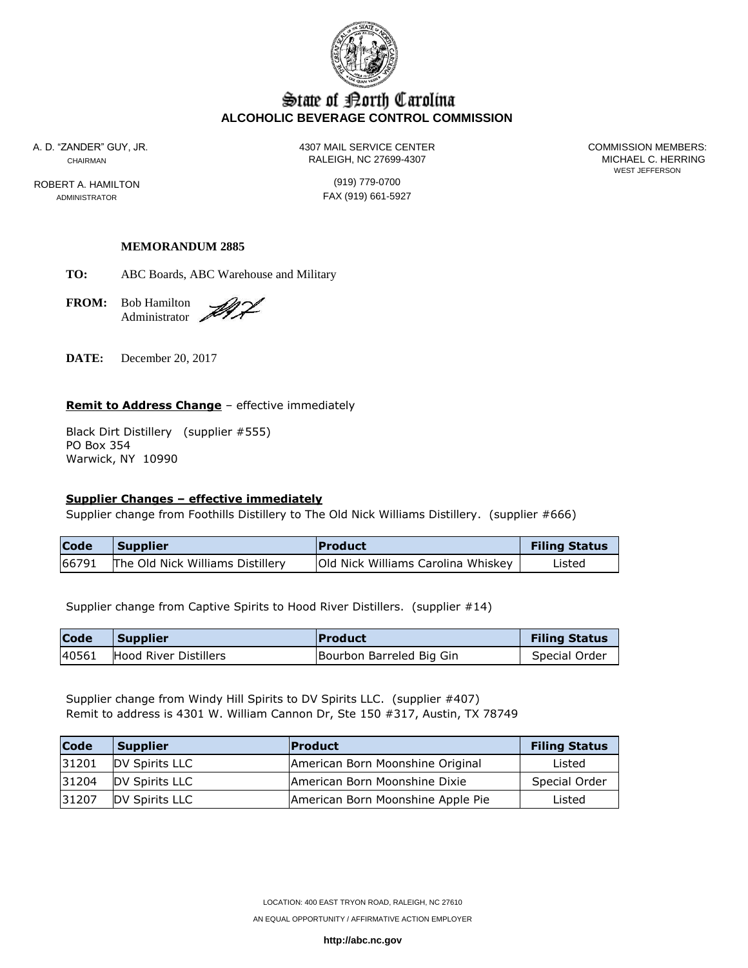

# State of Borth Carolina **ALCOHOLIC BEVERAGE CONTROL COMMISSION**

ROBERT A. HAMILTON (919) 779-0700

A. D. "ZANDER" GUY, JR. 4307 MAIL SERVICE CENTER COMMISSION MEMBERS: CHAIRMAN CHAIRMAN CHAIRMAN

WEST JEFFERSON

ADMINISTRATOR **FAX** (919) 661-5927

### **MEMORANDUM 2885**

**TO:** ABC Boards, ABC Warehouse and Military

**FROM:** Bob Hamilton Administrator

DI'T

**DATE:** December 20, 2017

#### **Remit to Address Change** - effective immediately

Black Dirt Distillery (supplier #555) PO Box 354 Warwick, NY 10990

#### **Supplier Changes – effective immediately**

Supplier change from Foothills Distillery to The Old Nick Williams Distillery. (supplier #666)

| <b>Code</b> | <b>Supplier</b>                  | <b>Product</b>                     | <b>Filing Status</b> |
|-------------|----------------------------------|------------------------------------|----------------------|
| 66791       | The Old Nick Williams Distillery | Old Nick Williams Carolina Whiskey | Listed               |

Supplier change from Captive Spirits to Hood River Distillers. (supplier #14)

| <b>Code</b> | <b>Supplier</b>       | <b>Product</b>           | <b>Filing Status</b> |
|-------------|-----------------------|--------------------------|----------------------|
| 40561       | Hood River Distillers | Bourbon Barreled Big Gin | Special Order        |

Supplier change from Windy Hill Spirits to DV Spirits LLC. (supplier #407) Remit to address is 4301 W. William Cannon Dr, Ste 150 #317, Austin, TX 78749

| <b>Code</b> | <b>Supplier</b> | <b>Product</b>                    | <b>Filing Status</b> |
|-------------|-----------------|-----------------------------------|----------------------|
| 31201       | DV Spirits LLC  | American Born Moonshine Original  | Listed               |
| 31204       | DV Spirits LLC  | lAmerican Born Moonshine Dixie    | Special Order        |
| 31207       | DV Spirits LLC  | American Born Moonshine Apple Pie | Listed               |

**http://abc.nc.gov**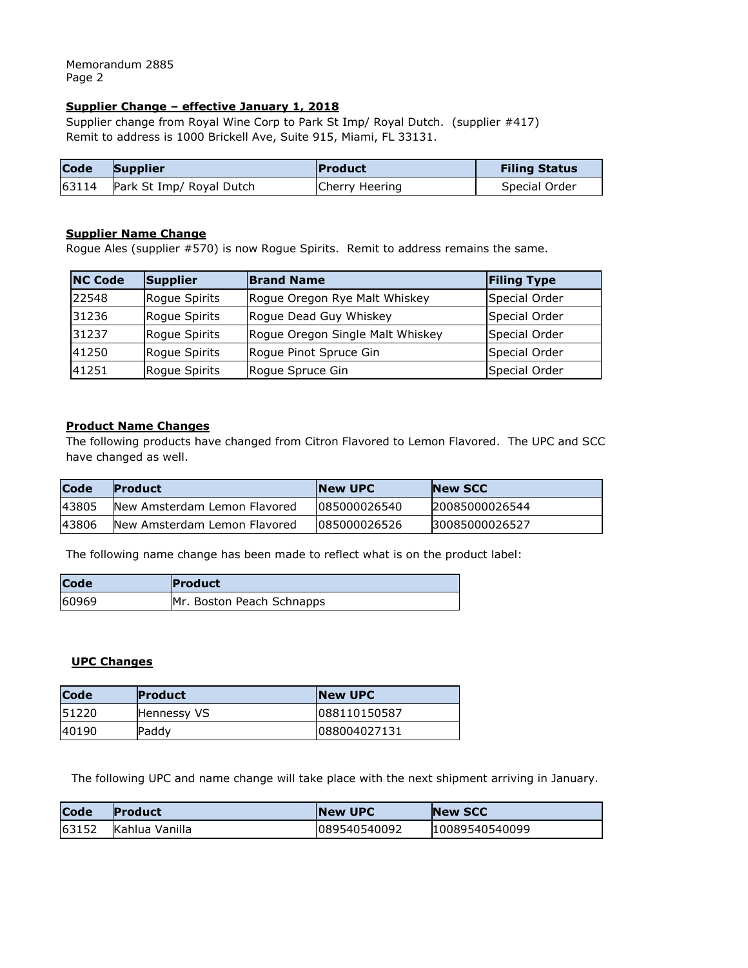Memorandum 2885 Page 2

## **Supplier Change – effective January 1, 2018**

Supplier change from Royal Wine Corp to Park St Imp/ Royal Dutch. (supplier #417) Remit to address is 1000 Brickell Ave, Suite 915, Miami, FL 33131.

| Code  | <b>Supplier</b>          | <b>Product</b> | <b>Filing Status</b> |
|-------|--------------------------|----------------|----------------------|
| 63114 | Park St Imp/ Royal Dutch | Cherry Heering | Special Order        |

#### **Supplier Name Change**

Rogue Ales (supplier #570) is now Rogue Spirits. Remit to address remains the same.

| <b>NC Code</b> | Supplier      | <b>Brand Name</b>                | <b>Filing Type</b> |
|----------------|---------------|----------------------------------|--------------------|
| 22548          | Rogue Spirits | Rogue Oregon Rye Malt Whiskey    | Special Order      |
| 31236          | Rogue Spirits | Rogue Dead Guy Whiskey           | Special Order      |
| 31237          | Rogue Spirits | Rogue Oregon Single Malt Whiskey | Special Order      |
| 41250          | Rogue Spirits | Rogue Pinot Spruce Gin           | Special Order      |
| 41251          | Rogue Spirits | Rogue Spruce Gin                 | Special Order      |

# **Product Name Changes**

The following products have changed from Citron Flavored to Lemon Flavored. The UPC and SCC have changed as well.

| Code  | <b>Product</b>                | <b>INew UPC</b> | <b>New SCC</b> |
|-------|-------------------------------|-----------------|----------------|
| 43805 | INew Amsterdam Lemon Flavored | 1085000026540   | 20085000026544 |
| 43806 | INew Amsterdam Lemon Flavored | 1085000026526   | 30085000026527 |

The following name change has been made to reflect what is on the product label:

| <b>Code</b> | <b>Product</b>            |
|-------------|---------------------------|
| 60969       | Mr. Boston Peach Schnapps |

## **UPC Changes**

| <b>Code</b> | <b>Product</b> | <b>INew UPC</b> |
|-------------|----------------|-----------------|
| 151220      | Hennessy VS    | 1088110150587   |
| 140190      | Paddy          | 1088004027131   |

The following UPC and name change will take place with the next shipment arriving in January.

| <b>Code</b> | <b>Product</b>        | <b>INew UPC</b> | <b>New SCC</b> |
|-------------|-----------------------|-----------------|----------------|
|             | 163152 Kahlua Vanilla | 089540540092    | 10089540540099 |